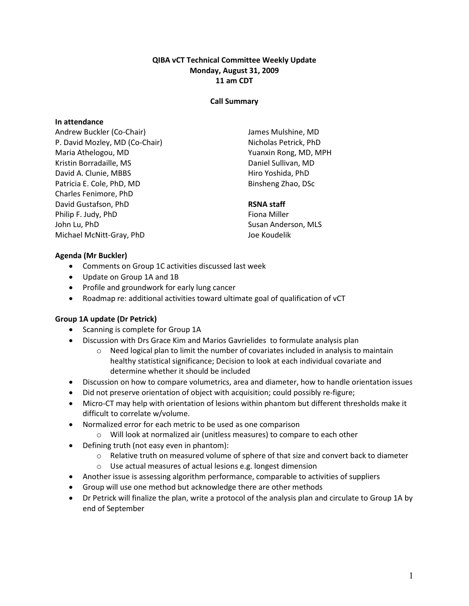### QIBA vCT Technical Committee Weekly Update Monday, August 31, 2009 11 am CDT

#### Call Summary

#### In attendance

Andrew Buckler (Co-Chair) P. David Mozley, MD (Co-Chair) Maria Athelogou, MD Kristin Borradaille, MS David A. Clunie, MBBS Patricia E. Cole, PhD, MD Charles Fenimore, PhD David Gustafson, PhD Philip F. Judy, PhD John Lu, PhD Michael McNitt-Gray, PhD

James Mulshine, MD Nicholas Petrick, PhD Yuanxin Rong, MD, MPH Daniel Sullivan, MD Hiro Yoshida, PhD Binsheng Zhao, DSc

### RSNA staff

Fiona Miller Susan Anderson, MLS Joe Koudelik

#### Agenda (Mr Buckler)

- Comments on Group 1C activities discussed last week
- Update on Group 1A and 1B
- Profile and groundwork for early lung cancer
- Roadmap re: additional activities toward ultimate goal of qualification of vCT

#### Group 1A update (Dr Petrick)

- Scanning is complete for Group 1A
- Discussion with Drs Grace Kim and Marios Gavrielides to formulate analysis plan
	- o Need logical plan to limit the number of covariates included in analysis to maintain healthy statistical significance; Decision to look at each individual covariate and determine whether it should be included
- Discussion on how to compare volumetrics, area and diameter, how to handle orientation issues
- Did not preserve orientation of object with acquisition; could possibly re-figure;
- Micro-CT may help with orientation of lesions within phantom but different thresholds make it difficult to correlate w/volume.
- Normalized error for each metric to be used as one comparison
	- o Will look at normalized air (unitless measures) to compare to each other
- Defining truth (not easy even in phantom):
	- o Relative truth on measured volume of sphere of that size and convert back to diameter
	- o Use actual measures of actual lesions e.g. longest dimension
- Another issue is assessing algorithm performance, comparable to activities of suppliers
- Group will use one method but acknowledge there are other methods
- Dr Petrick will finalize the plan, write a protocol of the analysis plan and circulate to Group 1A by end of September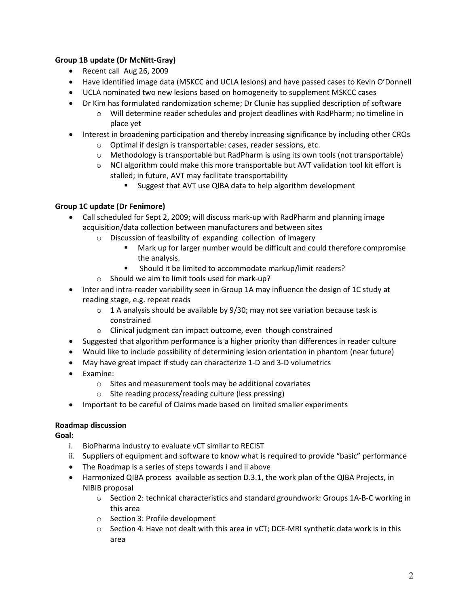# Group 1B update (Dr McNitt-Gray)

- Recent call Aug 26, 2009
- Have identified image data (MSKCC and UCLA lesions) and have passed cases to Kevin O'Donnell
- UCLA nominated two new lesions based on homogeneity to supplement MSKCC cases
- Dr Kim has formulated randomization scheme; Dr Clunie has supplied description of software
	- o Will determine reader schedules and project deadlines with RadPharm; no timeline in place yet
- Interest in broadening participation and thereby increasing significance by including other CROs
	- o Optimal if design is transportable: cases, reader sessions, etc.
	- $\circ$  Methodology is transportable but RadPharm is using its own tools (not transportable)
	- $\circ$  NCI algorithm could make this more transportable but AVT validation tool kit effort is stalled; in future, AVT may facilitate transportability
		- **Suggest that AVT use QIBA data to help algorithm development**

# Group 1C update (Dr Fenimore)

• Call scheduled for Sept 2, 2009; will discuss mark-up with RadPharm and planning image acquisition/data collection between manufacturers and between sites

- o Discussion of feasibility of expanding collection of imagery
	- Mark up for larger number would be difficult and could therefore compromise the analysis.
	- Should it be limited to accommodate markup/limit readers?
- o Should we aim to limit tools used for mark-up?
- Inter and intra-reader variability seen in Group 1A may influence the design of 1C study at reading stage, e.g. repeat reads
	- $\circ$  1 A analysis should be available by 9/30; may not see variation because task is constrained
	- o Clinical judgment can impact outcome, even though constrained
- Suggested that algorithm performance is a higher priority than differences in reader culture
- Would like to include possibility of determining lesion orientation in phantom (near future)
- May have great impact if study can characterize 1-D and 3-D volumetrics
- Examine:
	- o Sites and measurement tools may be additional covariates
	- o Site reading process/reading culture (less pressing)
- Important to be careful of Claims made based on limited smaller experiments

## Roadmap discussion

Goal:

- i. BioPharma industry to evaluate vCT similar to RECIST
- ii. Suppliers of equipment and software to know what is required to provide "basic" performance
- The Roadmap is a series of steps towards i and ii above
- Harmonized QIBA process available as section D.3.1, the work plan of the QIBA Projects, in NIBIB proposal
	- o Section 2: technical characteristics and standard groundwork: Groups 1A-B-C working in this area
	- o Section 3: Profile development
	- $\circ$  Section 4: Have not dealt with this area in vCT; DCE-MRI synthetic data work is in this area